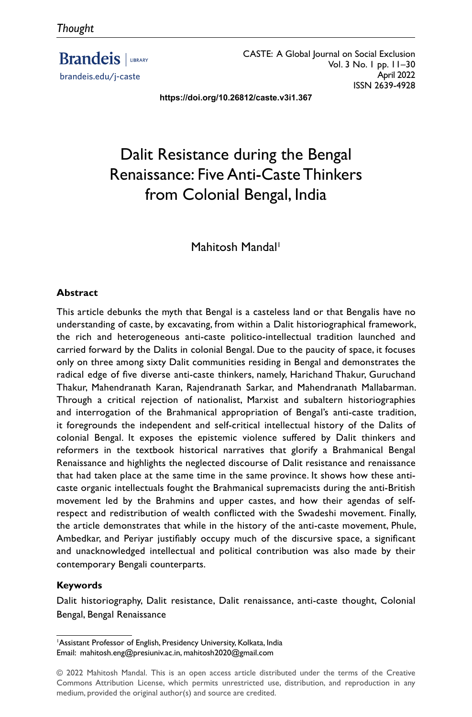**Brandeis** | LIBRARY brandeis.edu/j-caste

CASTE: A Global Journal on Social Exclusion Vol. 3 No. 1 pp. 11–30 April 2022 ISSN 2639-4928

**https://doi.org/10.26812/caste.v3i1.367**

# Dalit Resistance during the Bengal Renaissance: Five Anti-Caste Thinkers from Colonial Bengal, India

Mahitosh Mandal<sup>1</sup>

#### **Abstract**

This article debunks the myth that Bengal is a casteless land or that Bengalis have no understanding of caste, by excavating, from within a Dalit historiographical framework, the rich and heterogeneous anti-caste politico-intellectual tradition launched and carried forward by the Dalits in colonial Bengal. Due to the paucity of space, it focuses only on three among sixty Dalit communities residing in Bengal and demonstrates the radical edge of five diverse anti-caste thinkers, namely, Harichand Thakur, Guruchand Thakur, Mahendranath Karan, Rajendranath Sarkar, and Mahendranath Mallabarman. Through a critical rejection of nationalist, Marxist and subaltern historiographies and interrogation of the Brahmanical appropriation of Bengal's anti-caste tradition, it foregrounds the independent and self-critical intellectual history of the Dalits of colonial Bengal. It exposes the epistemic violence suffered by Dalit thinkers and reformers in the textbook historical narratives that glorify a Brahmanical Bengal Renaissance and highlights the neglected discourse of Dalit resistance and renaissance that had taken place at the same time in the same province. It shows how these anticaste organic intellectuals fought the Brahmanical supremacists during the anti-British movement led by the Brahmins and upper castes, and how their agendas of selfrespect and redistribution of wealth conflicted with the Swadeshi movement. Finally, the article demonstrates that while in the history of the anti-caste movement, Phule, Ambedkar, and Periyar justifiably occupy much of the discursive space, a significant and unacknowledged intellectual and political contribution was also made by their contemporary Bengali counterparts.

#### **Keywords**

Dalit historiography, Dalit resistance, Dalit renaissance, anti-caste thought, Colonial Bengal, Bengal Renaissance

<sup>1</sup> Assistant Professor of English, Presidency University, Kolkata, India Email: mahitosh.eng@presiuniv.ac.in, mahitosh2020@gmail.com

<sup>© 2022</sup> Mahitosh Mandal. This is an open access article distributed under the terms of the Creative Commons Attribution License, which permits unrestricted use, distribution, and reproduction in any medium, provided the original author(s) and source are credited.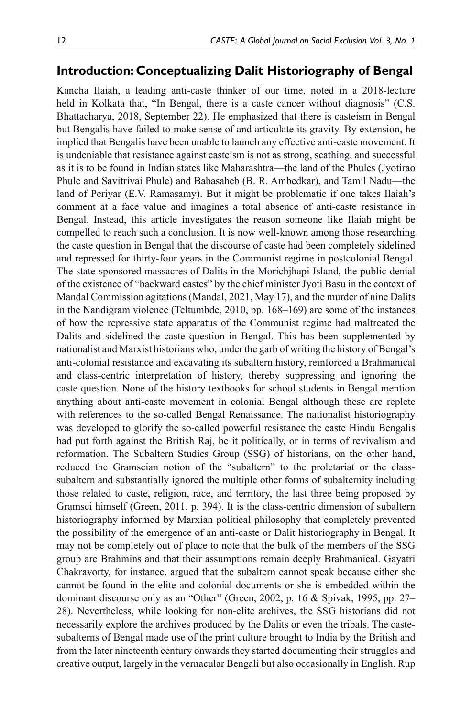## **Introduction: Conceptualizing Dalit Historiography of Bengal**

Kancha Ilaiah, a leading anti-caste thinker of our time, noted in a 2018-lecture held in Kolkata that, "In Bengal, there is a caste cancer without diagnosis" (C.S. Bhattacharya, 2018, September 22). He emphasized that there is casteism in Bengal but Bengalis have failed to make sense of and articulate its gravity. By extension, he implied that Bengalis have been unable to launch any effective anti-caste movement. It is undeniable that resistance against casteism is not as strong, scathing, and successful as it is to be found in Indian states like Maharashtra—the land of the Phules (Jyotirao Phule and Savitrivai Phule) and Babasaheb (B. R. Ambedkar), and Tamil Nadu—the land of Periyar (E.V. Ramasamy). But it might be problematic if one takes Ilaiah's comment at a face value and imagines a total absence of anti-caste resistance in Bengal. Instead, this article investigates the reason someone like Ilaiah might be compelled to reach such a conclusion. It is now well-known among those researching the caste question in Bengal that the discourse of caste had been completely sidelined and repressed for thirty-four years in the Communist regime in postcolonial Bengal. The state-sponsored massacres of Dalits in the Morichjhapi Island, the public denial of the existence of "backward castes" by the chief minister Jyoti Basu in the context of Mandal Commission agitations (Mandal, 2021, May 17), and the murder of nine Dalits in the Nandigram violence (Teltumbde, 2010, pp. 168–169) are some of the instances of how the repressive state apparatus of the Communist regime had maltreated the Dalits and sidelined the caste question in Bengal. This has been supplemented by nationalist and Marxist historians who, under the garb of writing the history of Bengal's anti-colonial resistance and excavating its subaltern history, reinforced a Brahmanical and class-centric interpretation of history, thereby suppressing and ignoring the caste question. None of the history textbooks for school students in Bengal mention anything about anti-caste movement in colonial Bengal although these are replete with references to the so-called Bengal Renaissance. The nationalist historiography was developed to glorify the so-called powerful resistance the caste Hindu Bengalis had put forth against the British Raj, be it politically, or in terms of revivalism and reformation. The Subaltern Studies Group (SSG) of historians, on the other hand, reduced the Gramscian notion of the "subaltern" to the proletariat or the classsubaltern and substantially ignored the multiple other forms of subalternity including those related to caste, religion, race, and territory, the last three being proposed by Gramsci himself (Green, 2011, p. 394). It is the class-centric dimension of subaltern historiography informed by Marxian political philosophy that completely prevented the possibility of the emergence of an anti-caste or Dalit historiography in Bengal. It may not be completely out of place to note that the bulk of the members of the SSG group are Brahmins and that their assumptions remain deeply Brahmanical. Gayatri Chakravorty, for instance, argued that the subaltern cannot speak because either she cannot be found in the elite and colonial documents or she is embedded within the dominant discourse only as an "Other" (Green, 2002, p. 16 & Spivak, 1995, pp. 27– 28). Nevertheless, while looking for non-elite archives, the SSG historians did not necessarily explore the archives produced by the Dalits or even the tribals. The castesubalterns of Bengal made use of the print culture brought to India by the British and from the later nineteenth century onwards they started documenting their struggles and creative output, largely in the vernacular Bengali but also occasionally in English. Rup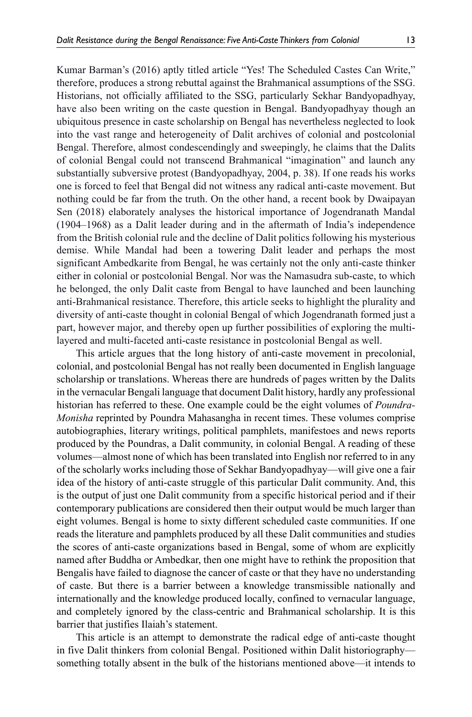Kumar Barman's (2016) aptly titled article "Yes! The Scheduled Castes Can Write," therefore, produces a strong rebuttal against the Brahmanical assumptions of the SSG. Historians, not officially affiliated to the SSG, particularly Sekhar Bandyopadhyay, have also been writing on the caste question in Bengal. Bandyopadhyay though an ubiquitous presence in caste scholarship on Bengal has nevertheless neglected to look into the vast range and heterogeneity of Dalit archives of colonial and postcolonial Bengal. Therefore, almost condescendingly and sweepingly, he claims that the Dalits of colonial Bengal could not transcend Brahmanical "imagination" and launch any substantially subversive protest (Bandyopadhyay, 2004, p. 38). If one reads his works one is forced to feel that Bengal did not witness any radical anti-caste movement. But nothing could be far from the truth. On the other hand, a recent book by Dwaipayan Sen (2018) elaborately analyses the historical importance of Jogendranath Mandal (1904–1968) as a Dalit leader during and in the aftermath of India's independence from the British colonial rule and the decline of Dalit politics following his mysterious demise. While Mandal had been a towering Dalit leader and perhaps the most significant Ambedkarite from Bengal, he was certainly not the only anti-caste thinker either in colonial or postcolonial Bengal. Nor was the Namasudra sub-caste, to which he belonged, the only Dalit caste from Bengal to have launched and been launching anti-Brahmanical resistance. Therefore, this article seeks to highlight the plurality and diversity of anti-caste thought in colonial Bengal of which Jogendranath formed just a part, however major, and thereby open up further possibilities of exploring the multilayered and multi-faceted anti-caste resistance in postcolonial Bengal as well.

This article argues that the long history of anti-caste movement in precolonial, colonial, and postcolonial Bengal has not really been documented in English language scholarship or translations. Whereas there are hundreds of pages written by the Dalits in the vernacular Bengali language that document Dalit history, hardly any professional historian has referred to these. One example could be the eight volumes of *Poundra-Monisha* reprinted by Poundra Mahasangha in recent times. These volumes comprise autobiographies, literary writings, political pamphlets, manifestoes and news reports produced by the Poundras, a Dalit community, in colonial Bengal. A reading of these volumes—almost none of which has been translated into English nor referred to in any of the scholarly works including those of Sekhar Bandyopadhyay—will give one a fair idea of the history of anti-caste struggle of this particular Dalit community. And, this is the output of just one Dalit community from a specific historical period and if their contemporary publications are considered then their output would be much larger than eight volumes. Bengal is home to sixty different scheduled caste communities. If one reads the literature and pamphlets produced by all these Dalit communities and studies the scores of anti-caste organizations based in Bengal, some of whom are explicitly named after Buddha or Ambedkar, then one might have to rethink the proposition that Bengalis have failed to diagnose the cancer of caste or that they have no understanding of caste. But there is a barrier between a knowledge transmissible nationally and internationally and the knowledge produced locally, confined to vernacular language, and completely ignored by the class-centric and Brahmanical scholarship. It is this barrier that justifies Ilaiah's statement.

This article is an attempt to demonstrate the radical edge of anti-caste thought in five Dalit thinkers from colonial Bengal. Positioned within Dalit historiography something totally absent in the bulk of the historians mentioned above—it intends to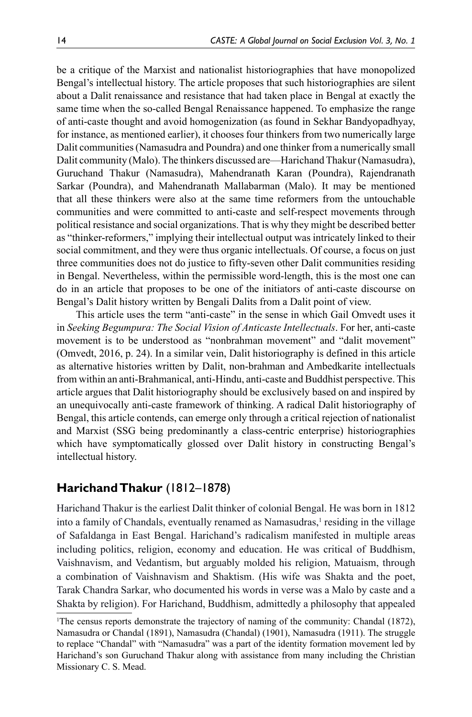be a critique of the Marxist and nationalist historiographies that have monopolized Bengal's intellectual history. The article proposes that such historiographies are silent about a Dalit renaissance and resistance that had taken place in Bengal at exactly the same time when the so-called Bengal Renaissance happened. To emphasize the range of anti-caste thought and avoid homogenization (as found in Sekhar Bandyopadhyay, for instance, as mentioned earlier), it chooses four thinkers from two numerically large Dalit communities (Namasudra and Poundra) and one thinker from a numerically small Dalit community (Malo). The thinkers discussed are—Harichand Thakur (Namasudra), Guruchand Thakur (Namasudra), Mahendranath Karan (Poundra), Rajendranath Sarkar (Poundra), and Mahendranath Mallabarman (Malo). It may be mentioned that all these thinkers were also at the same time reformers from the untouchable communities and were committed to anti-caste and self-respect movements through political resistance and social organizations. That is why they might be described better as "thinker-reformers," implying their intellectual output was intricately linked to their social commitment, and they were thus organic intellectuals. Of course, a focus on just three communities does not do justice to fifty-seven other Dalit communities residing in Bengal. Nevertheless, within the permissible word-length, this is the most one can do in an article that proposes to be one of the initiators of anti-caste discourse on Bengal's Dalit history written by Bengali Dalits from a Dalit point of view.

This article uses the term "anti-caste" in the sense in which Gail Omvedt uses it in *Seeking Begumpura: The Social Vision of Anticaste Intellectuals*. For her, anti-caste movement is to be understood as "nonbrahman movement" and "dalit movement" (Omvedt, 2016, p. 24). In a similar vein, Dalit historiography is defined in this article as alternative histories written by Dalit, non-brahman and Ambedkarite intellectuals from within an anti-Brahmanical, anti-Hindu, anti-caste and Buddhist perspective. This article argues that Dalit historiography should be exclusively based on and inspired by an unequivocally anti-caste framework of thinking. A radical Dalit historiography of Bengal, this article contends, can emerge only through a critical rejection of nationalist and Marxist (SSG being predominantly a class-centric enterprise) historiographies which have symptomatically glossed over Dalit history in constructing Bengal's intellectual history.

# **Harichand Thakur** (1812–1878)

Harichand Thakur is the earliest Dalit thinker of colonial Bengal. He was born in 1812 into a family of Chandals, eventually renamed as Namasudras,<sup>1</sup> residing in the village of Safaldanga in East Bengal. Harichand's radicalism manifested in multiple areas including politics, religion, economy and education. He was critical of Buddhism, Vaishnavism, and Vedantism, but arguably molded his religion, Matuaism, through a combination of Vaishnavism and Shaktism. (His wife was Shakta and the poet, Tarak Chandra Sarkar, who documented his words in verse was a Malo by caste and a Shakta by religion). For Harichand, Buddhism, admittedly a philosophy that appealed

<sup>1</sup> The census reports demonstrate the trajectory of naming of the community: Chandal (1872), Namasudra or Chandal (1891), Namasudra (Chandal) (1901), Namasudra (1911). The struggle to replace "Chandal" with "Namasudra" was a part of the identity formation movement led by Harichand's son Guruchand Thakur along with assistance from many including the Christian Missionary C. S. Mead.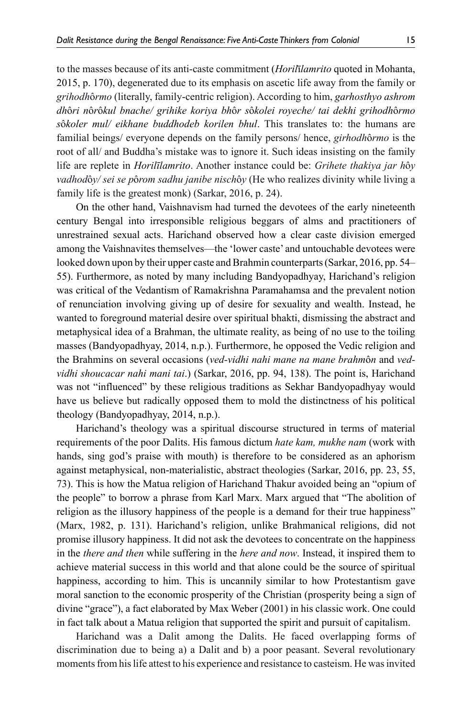to the masses because of its anti-caste commitment (*Horil*ī*lamrito* quoted in Mohanta, 2015, p. 170), degenerated due to its emphasis on ascetic life away from the family or *grihodh*ô*rmo* (literally, family-centric religion). According to him, *garhosthyo ashrom dh*ô*ri n*ô*r*ô*kul bnache/ grihike koriya bh*ô*r s*ô*kolei royeche/ tai dekhi grihodh*ô*rmo s*ô*koler mul/ eikhane buddhodeb korilen bhul*. This translates to: the humans are familial beings/ everyone depends on the family persons/ hence, *girhodh*ô*rmo* is the root of all/ and Buddha's mistake was to ignore it. Such ideas insisting on the family life are replete in *Horilīlamrito*. Another instance could be: *Grihete thakiya jar h*ô*y vadhod*ô*y/ sei se p*ô*rom sadhu janibe nisch*ô*y* (He who realizes divinity while living a family life is the greatest monk) (Sarkar, 2016, p. 24).

On the other hand, Vaishnavism had turned the devotees of the early nineteenth century Bengal into irresponsible religious beggars of alms and practitioners of unrestrained sexual acts. Harichand observed how a clear caste division emerged among the Vaishnavites themselves—the 'lower caste' and untouchable devotees were looked down upon by their upper caste and Brahmin counterparts (Sarkar, 2016, pp. 54– 55). Furthermore, as noted by many including Bandyopadhyay, Harichand's religion was critical of the Vedantism of Ramakrishna Paramahamsa and the prevalent notion of renunciation involving giving up of desire for sexuality and wealth. Instead, he wanted to foreground material desire over spiritual bhakti, dismissing the abstract and metaphysical idea of a Brahman, the ultimate reality, as being of no use to the toiling masses (Bandyopadhyay, 2014, n.p.). Furthermore, he opposed the Vedic religion and the Brahmins on several occasions (*ved-vidhi nahi mane na mane brahm*ô*n* and *vedvidhi shoucacar nahi mani tai*.) (Sarkar, 2016, pp. 94, 138). The point is, Harichand was not "influenced" by these religious traditions as Sekhar Bandyopadhyay would have us believe but radically opposed them to mold the distinctness of his political theology (Bandyopadhyay, 2014, n.p.).

Harichand's theology was a spiritual discourse structured in terms of material requirements of the poor Dalits. His famous dictum *hate kam, mukhe nam* (work with hands, sing god's praise with mouth) is therefore to be considered as an aphorism against metaphysical, non-materialistic, abstract theologies (Sarkar, 2016, pp. 23, 55, 73). This is how the Matua religion of Harichand Thakur avoided being an "opium of the people" to borrow a phrase from Karl Marx. Marx argued that "The abolition of religion as the illusory happiness of the people is a demand for their true happiness" (Marx, 1982, p. 131). Harichand's religion, unlike Brahmanical religions, did not promise illusory happiness. It did not ask the devotees to concentrate on the happiness in the *there and then* while suffering in the *here and now*. Instead, it inspired them to achieve material success in this world and that alone could be the source of spiritual happiness, according to him. This is uncannily similar to how Protestantism gave moral sanction to the economic prosperity of the Christian (prosperity being a sign of divine "grace"), a fact elaborated by Max Weber (2001) in his classic work. One could in fact talk about a Matua religion that supported the spirit and pursuit of capitalism.

Harichand was a Dalit among the Dalits. He faced overlapping forms of discrimination due to being a) a Dalit and b) a poor peasant. Several revolutionary moments from his life attest to his experience and resistance to casteism. He was invited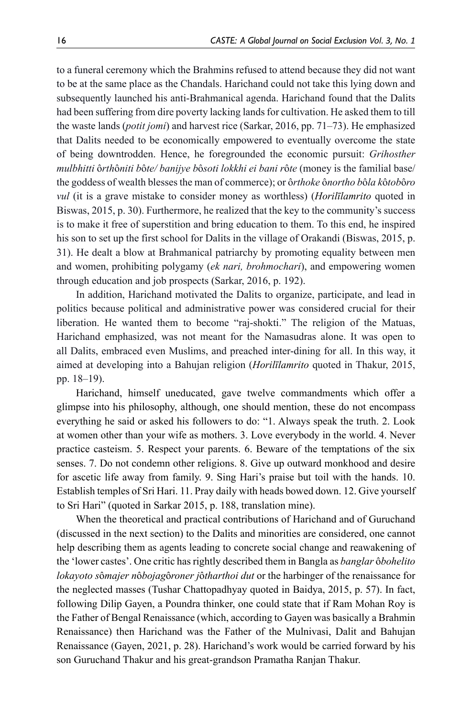to a funeral ceremony which the Brahmins refused to attend because they did not want to be at the same place as the Chandals. Harichand could not take this lying down and subsequently launched his anti-Brahmanical agenda. Harichand found that the Dalits had been suffering from dire poverty lacking lands for cultivation. He asked them to till the waste lands (*potit jomi*) and harvest rice (Sarkar, 2016, pp. 71–73). He emphasized that Dalits needed to be economically empowered to eventually overcome the state of being downtrodden. Hence, he foregrounded the economic pursuit: *Grihosther mulbhitti* ô*rth*ô*niti b*ô*te/ banijye b*ô*soti lokkhi ei bani r*ô*te* (money is the familial base/ the goddess of wealth blesses the man of commerce); or ô*rthoke* ô*northo b*ô*la k*ô*tob*ô*ro vul* (it is a grave mistake to consider money as worthless) (*Horilīlamrito* quoted in Biswas, 2015, p. 30). Furthermore, he realized that the key to the community's success is to make it free of superstition and bring education to them. To this end, he inspired his son to set up the first school for Dalits in the village of Orakandi (Biswas, 2015, p. 31). He dealt a blow at Brahmanical patriarchy by promoting equality between men and women, prohibiting polygamy (*ek nari, brohmochari*), and empowering women through education and job prospects (Sarkar, 2016, p. 192).

In addition, Harichand motivated the Dalits to organize, participate, and lead in politics because political and administrative power was considered crucial for their liberation. He wanted them to become "raj-shokti." The religion of the Matuas, Harichand emphasized, was not meant for the Namasudras alone. It was open to all Dalits, embraced even Muslims, and preached inter-dining for all. In this way, it aimed at developing into a Bahujan religion (*Horilīlamrito* quoted in Thakur, 2015, pp. 18–19).

Harichand, himself uneducated, gave twelve commandments which offer a glimpse into his philosophy, although, one should mention, these do not encompass everything he said or asked his followers to do: "1. Always speak the truth. 2. Look at women other than your wife as mothers. 3. Love everybody in the world. 4. Never practice casteism. 5. Respect your parents. 6. Beware of the temptations of the six senses. 7. Do not condemn other religions. 8. Give up outward monkhood and desire for ascetic life away from family. 9. Sing Hari's praise but toil with the hands. 10. Establish temples of Sri Hari. 11. Pray daily with heads bowed down. 12. Give yourself to Sri Hari" (quoted in Sarkar 2015, p. 188, translation mine).

When the theoretical and practical contributions of Harichand and of Guruchand (discussed in the next section) to the Dalits and minorities are considered, one cannot help describing them as agents leading to concrete social change and reawakening of the 'lower castes'. One critic has rightly described them in Bangla as *banglar* ô*bohelito lokayoto s*ô*majer n*ô*bojag*ô*roner j*ô*tharthoi dut* or the harbinger of the renaissance for the neglected masses (Tushar Chattopadhyay quoted in Baidya, 2015, p. 57). In fact, following Dilip Gayen, a Poundra thinker, one could state that if Ram Mohan Roy is the Father of Bengal Renaissance (which, according to Gayen was basically a Brahmin Renaissance) then Harichand was the Father of the Mulnivasi, Dalit and Bahujan Renaissance (Gayen, 2021, p. 28). Harichand's work would be carried forward by his son Guruchand Thakur and his great-grandson Pramatha Ranjan Thakur.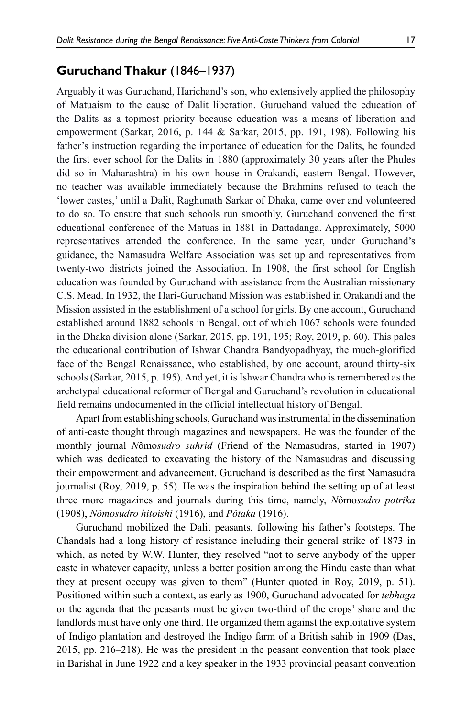# **Guruchand Thakur** (1846–1937)

Arguably it was Guruchand, Harichand's son, who extensively applied the philosophy of Matuaism to the cause of Dalit liberation. Guruchand valued the education of the Dalits as a topmost priority because education was a means of liberation and empowerment (Sarkar, 2016, p. 144 & Sarkar, 2015, pp. 191, 198). Following his father's instruction regarding the importance of education for the Dalits, he founded the first ever school for the Dalits in 1880 (approximately 30 years after the Phules did so in Maharashtra) in his own house in Orakandi, eastern Bengal. However, no teacher was available immediately because the Brahmins refused to teach the 'lower castes,' until a Dalit, Raghunath Sarkar of Dhaka, came over and volunteered to do so. To ensure that such schools run smoothly, Guruchand convened the first educational conference of the Matuas in 1881 in Dattadanga. Approximately, 5000 representatives attended the conference. In the same year, under Guruchand's guidance, the Namasudra Welfare Association was set up and representatives from twenty-two districts joined the Association. In 1908, the first school for English education was founded by Guruchand with assistance from the Australian missionary C.S. Mead. In 1932, the Hari-Guruchand Mission was established in Orakandi and the Mission assisted in the establishment of a school for girls. By one account, Guruchand established around 1882 schools in Bengal, out of which 1067 schools were founded in the Dhaka division alone (Sarkar, 2015, pp. 191, 195; Roy, 2019, p. 60). This pales the educational contribution of Ishwar Chandra Bandyopadhyay, the much-glorified face of the Bengal Renaissance, who established, by one account, around thirty-six schools (Sarkar, 2015, p. 195). And yet, it is Ishwar Chandra who is remembered as the archetypal educational reformer of Bengal and Guruchand's revolution in educational field remains undocumented in the official intellectual history of Bengal.

Apart from establishing schools, Guruchand was instrumental in the dissemination of anti-caste thought through magazines and newspapers. He was the founder of the monthly journal *N*ômo*sudro suhrid* (Friend of the Namasudras, started in 1907) which was dedicated to excavating the history of the Namasudras and discussing their empowerment and advancement. Guruchand is described as the first Namasudra journalist (Roy, 2019, p. 55). He was the inspiration behind the setting up of at least three more magazines and journals during this time, namely, *N*ômo*sudro potrika*  (1908), *Nômosudro hitoishi* (1916), and *Pôtaka* (1916).

Guruchand mobilized the Dalit peasants, following his father's footsteps. The Chandals had a long history of resistance including their general strike of 1873 in which, as noted by W.W. Hunter, they resolved "not to serve anybody of the upper caste in whatever capacity, unless a better position among the Hindu caste than what they at present occupy was given to them" (Hunter quoted in Roy, 2019, p. 51). Positioned within such a context, as early as 1900, Guruchand advocated for *tebhaga* or the agenda that the peasants must be given two-third of the crops' share and the landlords must have only one third. He organized them against the exploitative system of Indigo plantation and destroyed the Indigo farm of a British sahib in 1909 (Das, 2015, pp. 216–218). He was the president in the peasant convention that took place in Barishal in June 1922 and a key speaker in the 1933 provincial peasant convention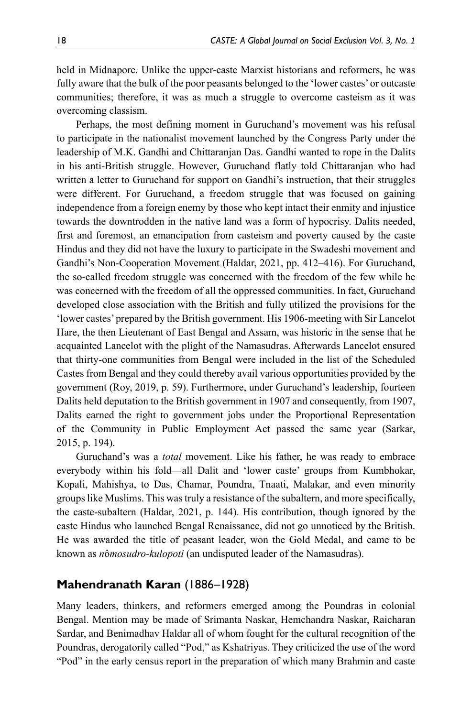held in Midnapore. Unlike the upper-caste Marxist historians and reformers, he was fully aware that the bulk of the poor peasants belonged to the 'lower castes' or outcaste communities; therefore, it was as much a struggle to overcome casteism as it was overcoming classism.

Perhaps, the most defining moment in Guruchand's movement was his refusal to participate in the nationalist movement launched by the Congress Party under the leadership of M.K. Gandhi and Chittaranjan Das. Gandhi wanted to rope in the Dalits in his anti-British struggle. However, Guruchand flatly told Chittaranjan who had written a letter to Guruchand for support on Gandhi's instruction, that their struggles were different. For Guruchand, a freedom struggle that was focused on gaining independence from a foreign enemy by those who kept intact their enmity and injustice towards the downtrodden in the native land was a form of hypocrisy. Dalits needed, first and foremost, an emancipation from casteism and poverty caused by the caste Hindus and they did not have the luxury to participate in the Swadeshi movement and Gandhi's Non-Cooperation Movement (Haldar, 2021, pp. 412–416). For Guruchand, the so-called freedom struggle was concerned with the freedom of the few while he was concerned with the freedom of all the oppressed communities. In fact, Guruchand developed close association with the British and fully utilized the provisions for the 'lower castes' prepared by the British government. His 1906-meeting with Sir Lancelot Hare, the then Lieutenant of East Bengal and Assam, was historic in the sense that he acquainted Lancelot with the plight of the Namasudras. Afterwards Lancelot ensured that thirty-one communities from Bengal were included in the list of the Scheduled Castes from Bengal and they could thereby avail various opportunities provided by the government (Roy, 2019, p. 59). Furthermore, under Guruchand's leadership, fourteen Dalits held deputation to the British government in 1907 and consequently, from 1907, Dalits earned the right to government jobs under the Proportional Representation of the Community in Public Employment Act passed the same year (Sarkar, 2015, p. 194).

Guruchand's was a *total* movement. Like his father, he was ready to embrace everybody within his fold—all Dalit and 'lower caste' groups from Kumbhokar, Kopali, Mahishya, to Das, Chamar, Poundra, Tnaati, Malakar, and even minority groups like Muslims. This was truly a resistance of the subaltern, and more specifically, the caste-subaltern (Haldar, 2021, p. 144). His contribution, though ignored by the caste Hindus who launched Bengal Renaissance, did not go unnoticed by the British. He was awarded the title of peasant leader, won the Gold Medal, and came to be known as *n*ô*mosudro-kulopoti* (an undisputed leader of the Namasudras).

# **Mahendranath Karan** (1886–1928)

Many leaders, thinkers, and reformers emerged among the Poundras in colonial Bengal. Mention may be made of Srimanta Naskar, Hemchandra Naskar, Raicharan Sardar, and Benimadhav Haldar all of whom fought for the cultural recognition of the Poundras, derogatorily called "Pod," as Kshatriyas. They criticized the use of the word "Pod" in the early census report in the preparation of which many Brahmin and caste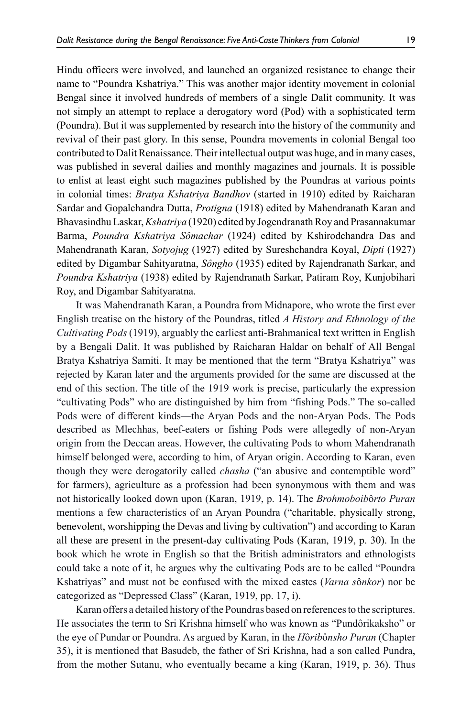Hindu officers were involved, and launched an organized resistance to change their name to "Poundra Kshatriya." This was another major identity movement in colonial Bengal since it involved hundreds of members of a single Dalit community. It was not simply an attempt to replace a derogatory word (Pod) with a sophisticated term (Poundra). But it was supplemented by research into the history of the community and revival of their past glory. In this sense, Poundra movements in colonial Bengal too contributed to Dalit Renaissance. Their intellectual output was huge, and in many cases, was published in several dailies and monthly magazines and journals. It is possible to enlist at least eight such magazines published by the Poundras at various points in colonial times: *Bratya Kshatriya Bandhov* (started in 1910) edited by Raicharan Sardar and Gopalchandra Dutta, *Protigna* (1918) edited by Mahendranath Karan and Bhavasindhu Laskar, *Kshatriya* (1920) edited by Jogendranath Roy and Prasannakumar Barma, *Poundra Kshatriya Sômachar* (1924) edited by Kshirodchandra Das and Mahendranath Karan, *Sotyojug* (1927) edited by Sureshchandra Koyal, *Dipti* (1927)

edited by Digambar Sahityaratna, *Sôngho* (1935) edited by Rajendranath Sarkar, and *Poundra Kshatriya* (1938) edited by Rajendranath Sarkar, Patiram Roy, Kunjobihari Roy, and Digambar Sahityaratna.

It was Mahendranath Karan, a Poundra from Midnapore, who wrote the first ever English treatise on the history of the Poundras, titled *A History and Ethnology of the Cultivating Pods* (1919), arguably the earliest anti-Brahmanical text written in English by a Bengali Dalit. It was published by Raicharan Haldar on behalf of All Bengal Bratya Kshatriya Samiti. It may be mentioned that the term "Bratya Kshatriya" was rejected by Karan later and the arguments provided for the same are discussed at the end of this section. The title of the 1919 work is precise, particularly the expression "cultivating Pods" who are distinguished by him from "fishing Pods." The so-called Pods were of different kinds—the Aryan Pods and the non-Aryan Pods. The Pods described as Mlechhas, beef-eaters or fishing Pods were allegedly of non-Aryan origin from the Deccan areas. However, the cultivating Pods to whom Mahendranath himself belonged were, according to him, of Aryan origin. According to Karan, even though they were derogatorily called *chasha* ("an abusive and contemptible word" for farmers), agriculture as a profession had been synonymous with them and was not historically looked down upon (Karan, 1919, p. 14). The *Brohmoboib*ô*rto Puran* mentions a few characteristics of an Aryan Poundra ("charitable, physically strong, benevolent, worshipping the Devas and living by cultivation") and according to Karan all these are present in the present-day cultivating Pods (Karan, 1919, p. 30). In the book which he wrote in English so that the British administrators and ethnologists could take a note of it, he argues why the cultivating Pods are to be called "Poundra Kshatriyas" and must not be confused with the mixed castes (*Varna s*ô*nkor*) nor be categorized as "Depressed Class" (Karan, 1919, pp. 17, i).

Karan offers a detailed history of the Poundras based on references to the scriptures. He associates the term to Sri Krishna himself who was known as "Pundôrikaksho" or the eye of Pundar or Poundra. As argued by Karan, in the *H*ô*rib*ô*nsho Puran* (Chapter 35), it is mentioned that Basudeb, the father of Sri Krishna, had a son called Pundra, from the mother Sutanu, who eventually became a king (Karan, 1919, p. 36). Thus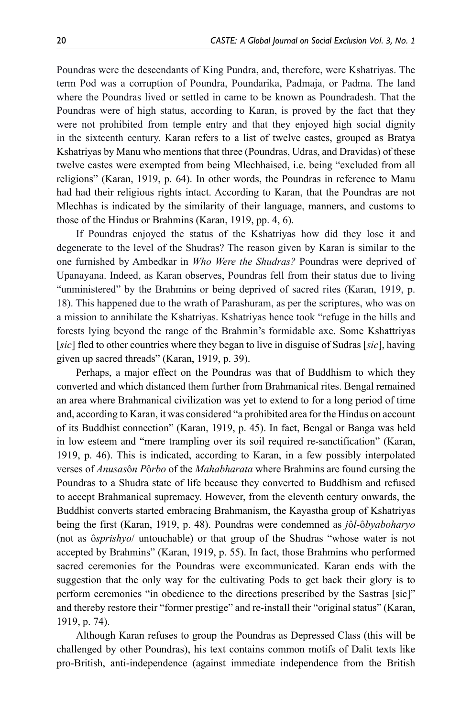Poundras were the descendants of King Pundra, and, therefore, were Kshatriyas. The term Pod was a corruption of Poundra, Poundarika, Padmaja, or Padma. The land where the Poundras lived or settled in came to be known as Poundradesh. That the Poundras were of high status, according to Karan, is proved by the fact that they were not prohibited from temple entry and that they enjoyed high social dignity in the sixteenth century. Karan refers to a list of twelve castes, grouped as Bratya Kshatriyas by Manu who mentions that three (Poundras, Udras, and Dravidas) of these twelve castes were exempted from being Mlechhaised, i.e. being "excluded from all religions" (Karan, 1919, p. 64). In other words, the Poundras in reference to Manu had had their religious rights intact. According to Karan, that the Poundras are not Mlechhas is indicated by the similarity of their language, manners, and customs to those of the Hindus or Brahmins (Karan, 1919, pp. 4, 6).

If Poundras enjoyed the status of the Kshatriyas how did they lose it and degenerate to the level of the Shudras? The reason given by Karan is similar to the one furnished by Ambedkar in *Who Were the Shudras?* Poundras were deprived of Upanayana. Indeed, as Karan observes, Poundras fell from their status due to living "unministered" by the Brahmins or being deprived of sacred rites (Karan, 1919, p. 18). This happened due to the wrath of Parashuram, as per the scriptures, who was on a mission to annihilate the Kshatriyas. Kshatriyas hence took "refuge in the hills and forests lying beyond the range of the Brahmin's formidable axe. Some Kshattriyas [*sic*] fled to other countries where they began to live in disguise of Sudras [*sic*], having given up sacred threads" (Karan, 1919, p. 39).

Perhaps, a major effect on the Poundras was that of Buddhism to which they converted and which distanced them further from Brahmanical rites. Bengal remained an area where Brahmanical civilization was yet to extend to for a long period of time and, according to Karan, it was considered "a prohibited area for the Hindus on account of its Buddhist connection" (Karan, 1919, p. 45). In fact, Bengal or Banga was held in low esteem and "mere trampling over its soil required re-sanctification" (Karan, 1919, p. 46). This is indicated, according to Karan, in a few possibly interpolated verses of *Anusas*ô*n P*ô*rbo* of the *Mahabharata* where Brahmins are found cursing the Poundras to a Shudra state of life because they converted to Buddhism and refused to accept Brahmanical supremacy. However, from the eleventh century onwards, the Buddhist converts started embracing Brahmanism, the Kayastha group of Kshatriyas being the first (Karan, 1919, p. 48). Poundras were condemned as *j*ô*l-*ô*byaboharyo* (not as ô*sprishyo*/ untouchable) or that group of the Shudras "whose water is not accepted by Brahmins" (Karan, 1919, p. 55). In fact, those Brahmins who performed sacred ceremonies for the Poundras were excommunicated. Karan ends with the suggestion that the only way for the cultivating Pods to get back their glory is to perform ceremonies "in obedience to the directions prescribed by the Sastras [sic]" and thereby restore their "former prestige" and re-install their "original status" (Karan, 1919, p. 74).

Although Karan refuses to group the Poundras as Depressed Class (this will be challenged by other Poundras), his text contains common motifs of Dalit texts like pro-British, anti-independence (against immediate independence from the British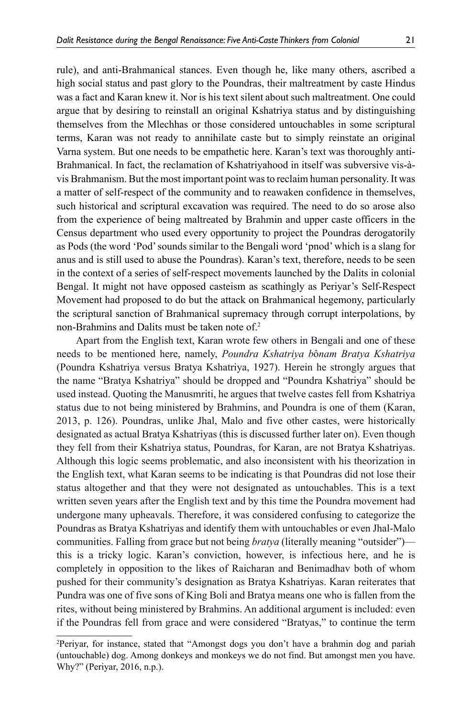rule), and anti-Brahmanical stances. Even though he, like many others, ascribed a high social status and past glory to the Poundras, their maltreatment by caste Hindus was a fact and Karan knew it. Nor is his text silent about such maltreatment. One could argue that by desiring to reinstall an original Kshatriya status and by distinguishing themselves from the Mlechhas or those considered untouchables in some scriptural terms, Karan was not ready to annihilate caste but to simply reinstate an original Varna system. But one needs to be empathetic here. Karan's text was thoroughly anti-Brahmanical. In fact, the reclamation of Kshatriyahood in itself was subversive vis-àvis Brahmanism. But the most important point was to reclaim human personality. It was a matter of self-respect of the community and to reawaken confidence in themselves, such historical and scriptural excavation was required. The need to do so arose also from the experience of being maltreated by Brahmin and upper caste officers in the Census department who used every opportunity to project the Poundras derogatorily as Pods (the word 'Pod' sounds similar to the Bengali word 'pnod' which is a slang for anus and is still used to abuse the Poundras). Karan's text, therefore, needs to be seen in the context of a series of self-respect movements launched by the Dalits in colonial Bengal. It might not have opposed casteism as scathingly as Periyar's Self-Respect Movement had proposed to do but the attack on Brahmanical hegemony, particularly the scriptural sanction of Brahmanical supremacy through corrupt interpolations, by non-Brahmins and Dalits must be taken note of.<sup>2</sup>

Apart from the English text, Karan wrote few others in Bengali and one of these needs to be mentioned here, namely, *Poundra Kshatriya b*ô*nam Bratya Kshatriya*  (Poundra Kshatriya versus Bratya Kshatriya, 1927). Herein he strongly argues that the name "Bratya Kshatriya" should be dropped and "Poundra Kshatriya" should be used instead. Quoting the Manusmriti, he argues that twelve castes fell from Kshatriya status due to not being ministered by Brahmins, and Poundra is one of them (Karan, 2013, p. 126). Poundras, unlike Jhal, Malo and five other castes, were historically designated as actual Bratya Kshatriyas (this is discussed further later on). Even though they fell from their Kshatriya status, Poundras, for Karan, are not Bratya Kshatriyas. Although this logic seems problematic, and also inconsistent with his theorization in the English text, what Karan seems to be indicating is that Poundras did not lose their status altogether and that they were not designated as untouchables. This is a text written seven years after the English text and by this time the Poundra movement had undergone many upheavals. Therefore, it was considered confusing to categorize the Poundras as Bratya Kshatriyas and identify them with untouchables or even Jhal-Malo communities. Falling from grace but not being *bratya* (literally meaning "outsider") this is a tricky logic. Karan's conviction, however, is infectious here, and he is completely in opposition to the likes of Raicharan and Benimadhav both of whom pushed for their community's designation as Bratya Kshatriyas. Karan reiterates that Pundra was one of five sons of King Boli and Bratya means one who is fallen from the rites, without being ministered by Brahmins. An additional argument is included: even if the Poundras fell from grace and were considered "Bratyas," to continue the term

<sup>2</sup> Periyar, for instance, stated that "Amongst dogs you don't have a brahmin dog and pariah (untouchable) dog. Among donkeys and monkeys we do not find. But amongst men you have. Why?" (Periyar, 2016, n.p.).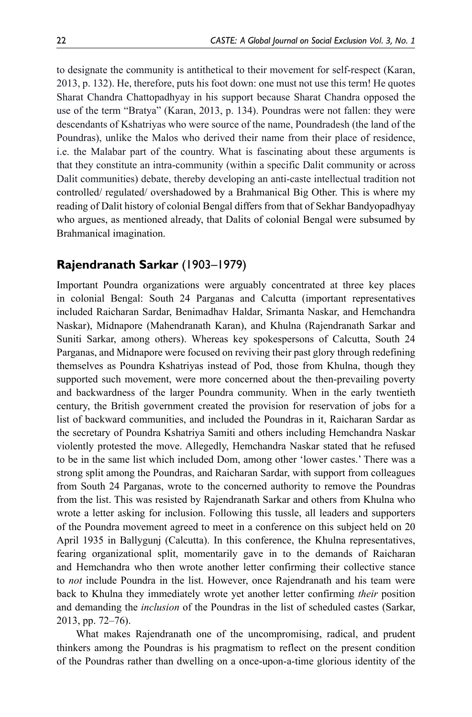to designate the community is antithetical to their movement for self-respect (Karan, 2013, p. 132). He, therefore, puts his foot down: one must not use this term! He quotes Sharat Chandra Chattopadhyay in his support because Sharat Chandra opposed the use of the term "Bratya" (Karan, 2013, p. 134). Poundras were not fallen: they were descendants of Kshatriyas who were source of the name, Poundradesh (the land of the Poundras), unlike the Malos who derived their name from their place of residence, i.e. the Malabar part of the country. What is fascinating about these arguments is that they constitute an intra-community (within a specific Dalit community or across Dalit communities) debate, thereby developing an anti-caste intellectual tradition not controlled/ regulated/ overshadowed by a Brahmanical Big Other. This is where my reading of Dalit history of colonial Bengal differs from that of Sekhar Bandyopadhyay who argues, as mentioned already, that Dalits of colonial Bengal were subsumed by Brahmanical imagination.

## **Rajendranath Sarkar** (1903–1979)

Important Poundra organizations were arguably concentrated at three key places in colonial Bengal: South 24 Parganas and Calcutta (important representatives included Raicharan Sardar, Benimadhav Haldar, Srimanta Naskar, and Hemchandra Naskar), Midnapore (Mahendranath Karan), and Khulna (Rajendranath Sarkar and Suniti Sarkar, among others). Whereas key spokespersons of Calcutta, South 24 Parganas, and Midnapore were focused on reviving their past glory through redefining themselves as Poundra Kshatriyas instead of Pod, those from Khulna, though they supported such movement, were more concerned about the then-prevailing poverty and backwardness of the larger Poundra community. When in the early twentieth century, the British government created the provision for reservation of jobs for a list of backward communities, and included the Poundras in it, Raicharan Sardar as the secretary of Poundra Kshatriya Samiti and others including Hemchandra Naskar violently protested the move. Allegedly, Hemchandra Naskar stated that he refused to be in the same list which included Dom, among other 'lower castes.' There was a strong split among the Poundras, and Raicharan Sardar, with support from colleagues from South 24 Parganas, wrote to the concerned authority to remove the Poundras from the list. This was resisted by Rajendranath Sarkar and others from Khulna who wrote a letter asking for inclusion. Following this tussle, all leaders and supporters of the Poundra movement agreed to meet in a conference on this subject held on 20 April 1935 in Ballygunj (Calcutta). In this conference, the Khulna representatives, fearing organizational split, momentarily gave in to the demands of Raicharan and Hemchandra who then wrote another letter confirming their collective stance to *not* include Poundra in the list. However, once Rajendranath and his team were back to Khulna they immediately wrote yet another letter confirming *their* position and demanding the *inclusion* of the Poundras in the list of scheduled castes (Sarkar, 2013, pp. 72–76).

What makes Rajendranath one of the uncompromising, radical, and prudent thinkers among the Poundras is his pragmatism to reflect on the present condition of the Poundras rather than dwelling on a once-upon-a-time glorious identity of the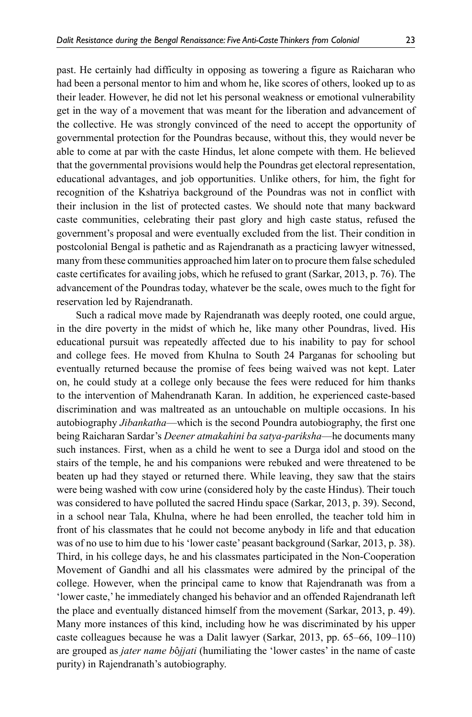past. He certainly had difficulty in opposing as towering a figure as Raicharan who had been a personal mentor to him and whom he, like scores of others, looked up to as their leader. However, he did not let his personal weakness or emotional vulnerability get in the way of a movement that was meant for the liberation and advancement of the collective. He was strongly convinced of the need to accept the opportunity of governmental protection for the Poundras because, without this, they would never be able to come at par with the caste Hindus, let alone compete with them. He believed that the governmental provisions would help the Poundras get electoral representation, educational advantages, and job opportunities. Unlike others, for him, the fight for recognition of the Kshatriya background of the Poundras was not in conflict with their inclusion in the list of protected castes. We should note that many backward caste communities, celebrating their past glory and high caste status, refused the government's proposal and were eventually excluded from the list. Their condition in postcolonial Bengal is pathetic and as Rajendranath as a practicing lawyer witnessed, many from these communities approached him later on to procure them false scheduled caste certificates for availing jobs, which he refused to grant (Sarkar, 2013, p. 76). The advancement of the Poundras today, whatever be the scale, owes much to the fight for reservation led by Rajendranath.

Such a radical move made by Rajendranath was deeply rooted, one could argue, in the dire poverty in the midst of which he, like many other Poundras, lived. His educational pursuit was repeatedly affected due to his inability to pay for school and college fees. He moved from Khulna to South 24 Parganas for schooling but eventually returned because the promise of fees being waived was not kept. Later on, he could study at a college only because the fees were reduced for him thanks to the intervention of Mahendranath Karan. In addition, he experienced caste-based discrimination and was maltreated as an untouchable on multiple occasions. In his autobiography *Jibankatha*—which is the second Poundra autobiography, the first one being Raicharan Sardar's *Deener atmakahini ba satya-pariksha*—he documents many such instances. First, when as a child he went to see a Durga idol and stood on the stairs of the temple, he and his companions were rebuked and were threatened to be beaten up had they stayed or returned there. While leaving, they saw that the stairs were being washed with cow urine (considered holy by the caste Hindus). Their touch was considered to have polluted the sacred Hindu space (Sarkar, 2013, p. 39). Second, in a school near Tala, Khulna, where he had been enrolled, the teacher told him in front of his classmates that he could not become anybody in life and that education was of no use to him due to his 'lower caste' peasant background (Sarkar, 2013, p. 38). Third, in his college days, he and his classmates participated in the Non-Cooperation Movement of Gandhi and all his classmates were admired by the principal of the college. However, when the principal came to know that Rajendranath was from a 'lower caste,' he immediately changed his behavior and an offended Rajendranath left the place and eventually distanced himself from the movement (Sarkar, 2013, p. 49). Many more instances of this kind, including how he was discriminated by his upper caste colleagues because he was a Dalit lawyer (Sarkar, 2013, pp. 65–66, 109–110) are grouped as *jater name b*ô*jjati* (humiliating the 'lower castes' in the name of caste purity) in Rajendranath's autobiography.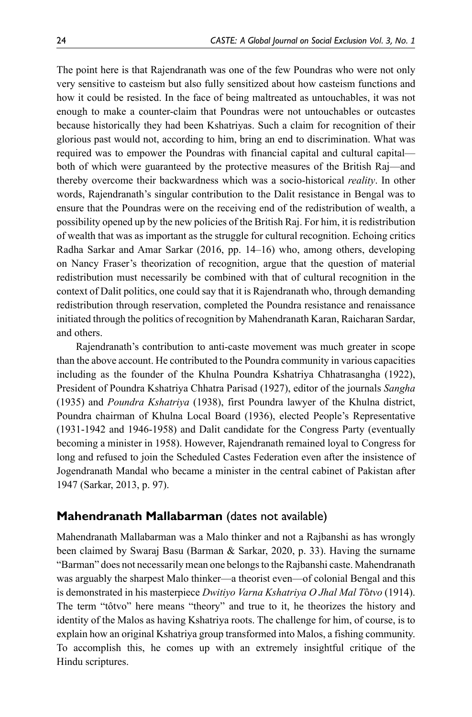The point here is that Rajendranath was one of the few Poundras who were not only very sensitive to casteism but also fully sensitized about how casteism functions and how it could be resisted. In the face of being maltreated as untouchables, it was not enough to make a counter-claim that Poundras were not untouchables or outcastes because historically they had been Kshatriyas. Such a claim for recognition of their glorious past would not, according to him, bring an end to discrimination. What was required was to empower the Poundras with financial capital and cultural capital both of which were guaranteed by the protective measures of the British Raj—and thereby overcome their backwardness which was a socio-historical *reality*. In other words, Rajendranath's singular contribution to the Dalit resistance in Bengal was to ensure that the Poundras were on the receiving end of the redistribution of wealth, a possibility opened up by the new policies of the British Raj. For him, it is redistribution of wealth that was as important as the struggle for cultural recognition. Echoing critics Radha Sarkar and Amar Sarkar (2016, pp. 14–16) who, among others, developing on Nancy Fraser's theorization of recognition, argue that the question of material redistribution must necessarily be combined with that of cultural recognition in the context of Dalit politics, one could say that it is Rajendranath who, through demanding redistribution through reservation, completed the Poundra resistance and renaissance initiated through the politics of recognition by Mahendranath Karan, Raicharan Sardar, and others.

Rajendranath's contribution to anti-caste movement was much greater in scope than the above account. He contributed to the Poundra community in various capacities including as the founder of the Khulna Poundra Kshatriya Chhatrasangha (1922), President of Poundra Kshatriya Chhatra Parisad (1927), editor of the journals *Sangha*  (1935) and *Poundra Kshatriya* (1938), first Poundra lawyer of the Khulna district, Poundra chairman of Khulna Local Board (1936), elected People's Representative (1931-1942 and 1946-1958) and Dalit candidate for the Congress Party (eventually becoming a minister in 1958). However, Rajendranath remained loyal to Congress for long and refused to join the Scheduled Castes Federation even after the insistence of Jogendranath Mandal who became a minister in the central cabinet of Pakistan after 1947 (Sarkar, 2013, p. 97).

#### **Mahendranath Mallabarman** (dates not available)

Mahendranath Mallabarman was a Malo thinker and not a Rajbanshi as has wrongly been claimed by Swaraj Basu (Barman & Sarkar, 2020, p. 33). Having the surname "Barman" does not necessarily mean one belongs to the Rajbanshi caste. Mahendranath was arguably the sharpest Malo thinker—a theorist even—of colonial Bengal and this is demonstrated in his masterpiece *Dwitiyo Varna Kshatriya O Jhal Mal T*ô*tvo* (1914). The term "tôtvo" here means "theory" and true to it, he theorizes the history and identity of the Malos as having Kshatriya roots. The challenge for him, of course, is to explain how an original Kshatriya group transformed into Malos, a fishing community. To accomplish this, he comes up with an extremely insightful critique of the Hindu scriptures.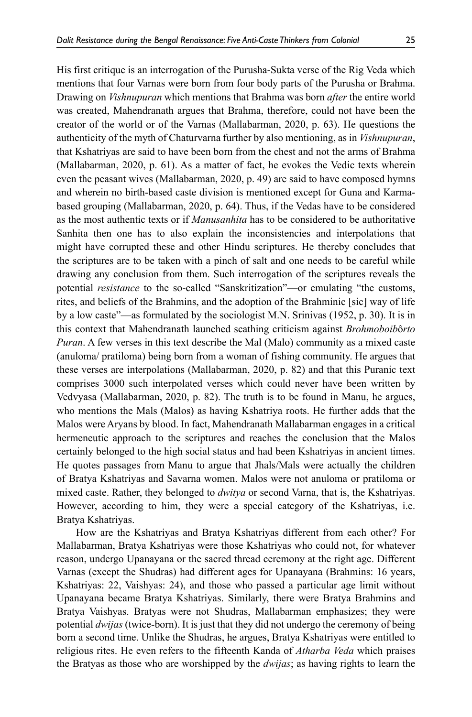His first critique is an interrogation of the Purusha-Sukta verse of the Rig Veda which mentions that four Varnas were born from four body parts of the Purusha or Brahma. Drawing on *Vishnupuran* which mentions that Brahma was born *after* the entire world was created, Mahendranath argues that Brahma, therefore, could not have been the creator of the world or of the Varnas (Mallabarman, 2020, p. 63). He questions the authenticity of the myth of Chaturvarna further by also mentioning, as in *Vishnupuran*, that Kshatriyas are said to have been born from the chest and not the arms of Brahma (Mallabarman, 2020, p. 61). As a matter of fact, he evokes the Vedic texts wherein even the peasant wives (Mallabarman, 2020, p. 49) are said to have composed hymns and wherein no birth-based caste division is mentioned except for Guna and Karmabased grouping (Mallabarman, 2020, p. 64). Thus, if the Vedas have to be considered as the most authentic texts or if *Manusanhita* has to be considered to be authoritative Sanhita then one has to also explain the inconsistencies and interpolations that might have corrupted these and other Hindu scriptures. He thereby concludes that the scriptures are to be taken with a pinch of salt and one needs to be careful while drawing any conclusion from them. Such interrogation of the scriptures reveals the potential *resistance* to the so-called "Sanskritization"—or emulating "the customs, rites, and beliefs of the Brahmins, and the adoption of the Brahminic [sic] way of life by a low caste"—as formulated by the sociologist M.N. Srinivas (1952, p. 30). It is in this context that Mahendranath launched scathing criticism against *Brohmoboib*ô*rto Puran*. A few verses in this text describe the Mal (Malo) community as a mixed caste (anuloma/ pratiloma) being born from a woman of fishing community. He argues that these verses are interpolations (Mallabarman, 2020, p. 82) and that this Puranic text comprises 3000 such interpolated verses which could never have been written by Vedvyasa (Mallabarman, 2020, p. 82). The truth is to be found in Manu, he argues, who mentions the Mals (Malos) as having Kshatriya roots. He further adds that the Malos were Aryans by blood. In fact, Mahendranath Mallabarman engages in a critical hermeneutic approach to the scriptures and reaches the conclusion that the Malos certainly belonged to the high social status and had been Kshatriyas in ancient times. He quotes passages from Manu to argue that Jhals/Mals were actually the children of Bratya Kshatriyas and Savarna women. Malos were not anuloma or pratiloma or mixed caste. Rather, they belonged to *dwitya* or second Varna, that is, the Kshatriyas. However, according to him, they were a special category of the Kshatriyas, i.e. Bratya Kshatriyas.

How are the Kshatriyas and Bratya Kshatriyas different from each other? For Mallabarman, Bratya Kshatriyas were those Kshatriyas who could not, for whatever reason, undergo Upanayana or the sacred thread ceremony at the right age. Different Varnas (except the Shudras) had different ages for Upanayana (Brahmins: 16 years, Kshatriyas: 22, Vaishyas: 24), and those who passed a particular age limit without Upanayana became Bratya Kshatriyas. Similarly, there were Bratya Brahmins and Bratya Vaishyas. Bratyas were not Shudras, Mallabarman emphasizes; they were potential *dwijas* (twice-born). It is just that they did not undergo the ceremony of being born a second time. Unlike the Shudras, he argues, Bratya Kshatriyas were entitled to religious rites. He even refers to the fifteenth Kanda of *Atharba Veda* which praises the Bratyas as those who are worshipped by the *dwijas*; as having rights to learn the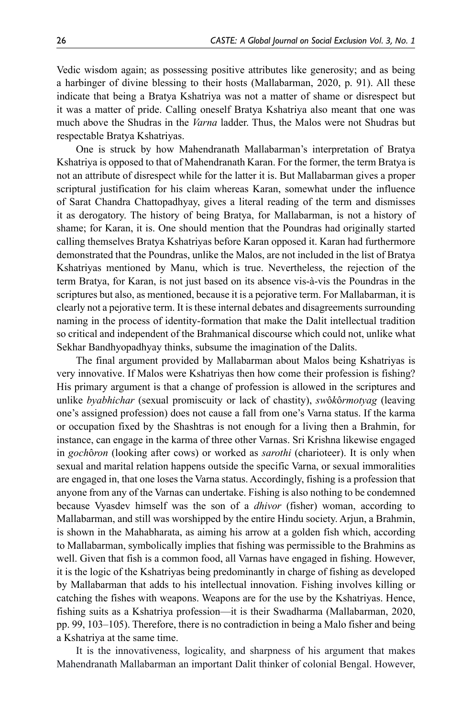Vedic wisdom again; as possessing positive attributes like generosity; and as being a harbinger of divine blessing to their hosts (Mallabarman, 2020, p. 91). All these indicate that being a Bratya Kshatriya was not a matter of shame or disrespect but it was a matter of pride. Calling oneself Bratya Kshatriya also meant that one was much above the Shudras in the *Varna* ladder. Thus, the Malos were not Shudras but respectable Bratya Kshatriyas.

One is struck by how Mahendranath Mallabarman's interpretation of Bratya Kshatriya is opposed to that of Mahendranath Karan. For the former, the term Bratya is not an attribute of disrespect while for the latter it is. But Mallabarman gives a proper scriptural justification for his claim whereas Karan, somewhat under the influence of Sarat Chandra Chattopadhyay, gives a literal reading of the term and dismisses it as derogatory. The history of being Bratya, for Mallabarman, is not a history of shame; for Karan, it is. One should mention that the Poundras had originally started calling themselves Bratya Kshatriyas before Karan opposed it. Karan had furthermore demonstrated that the Poundras, unlike the Malos, are not included in the list of Bratya Kshatriyas mentioned by Manu, which is true. Nevertheless, the rejection of the term Bratya, for Karan, is not just based on its absence vis-à-vis the Poundras in the scriptures but also, as mentioned, because it is a pejorative term. For Mallabarman, it is clearly not a pejorative term. It is these internal debates and disagreements surrounding naming in the process of identity-formation that make the Dalit intellectual tradition so critical and independent of the Brahmanical discourse which could not, unlike what Sekhar Bandhyopadhyay thinks, subsume the imagination of the Dalits.

The final argument provided by Mallabarman about Malos being Kshatriyas is very innovative. If Malos were Kshatriyas then how come their profession is fishing? His primary argument is that a change of profession is allowed in the scriptures and unlike *byabhichar* (sexual promiscuity or lack of chastity), *sw*ô*k*ô*rmotyag* (leaving one's assigned profession) does not cause a fall from one's Varna status. If the karma or occupation fixed by the Shashtras is not enough for a living then a Brahmin, for instance, can engage in the karma of three other Varnas. Sri Krishna likewise engaged in *goch*ô*ron* (looking after cows) or worked as *sarothi* (charioteer). It is only when sexual and marital relation happens outside the specific Varna, or sexual immoralities are engaged in, that one loses the Varna status. Accordingly, fishing is a profession that anyone from any of the Varnas can undertake. Fishing is also nothing to be condemned because Vyasdev himself was the son of a *dhivor* (fisher) woman, according to Mallabarman, and still was worshipped by the entire Hindu society. Arjun, a Brahmin, is shown in the Mahabharata, as aiming his arrow at a golden fish which, according to Mallabarman, symbolically implies that fishing was permissible to the Brahmins as well. Given that fish is a common food, all Varnas have engaged in fishing. However, it is the logic of the Kshatriyas being predominantly in charge of fishing as developed by Mallabarman that adds to his intellectual innovation. Fishing involves killing or catching the fishes with weapons. Weapons are for the use by the Kshatriyas. Hence, fishing suits as a Kshatriya profession—it is their Swadharma (Mallabarman, 2020, pp. 99, 103–105). Therefore, there is no contradiction in being a Malo fisher and being a Kshatriya at the same time.

It is the innovativeness, logicality, and sharpness of his argument that makes Mahendranath Mallabarman an important Dalit thinker of colonial Bengal. However,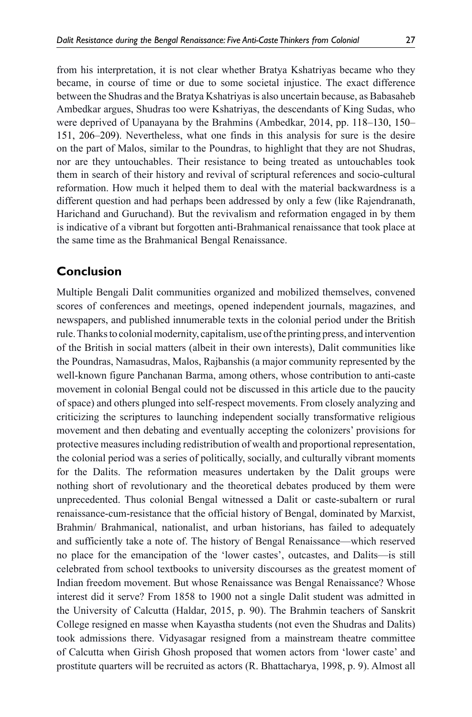from his interpretation, it is not clear whether Bratya Kshatriyas became who they became, in course of time or due to some societal injustice. The exact difference between the Shudras and the Bratya Kshatriyas is also uncertain because, as Babasaheb Ambedkar argues, Shudras too were Kshatriyas, the descendants of King Sudas, who were deprived of Upanayana by the Brahmins (Ambedkar, 2014, pp. 118–130, 150– 151, 206–209). Nevertheless, what one finds in this analysis for sure is the desire on the part of Malos, similar to the Poundras, to highlight that they are not Shudras, nor are they untouchables. Their resistance to being treated as untouchables took them in search of their history and revival of scriptural references and socio-cultural reformation. How much it helped them to deal with the material backwardness is a different question and had perhaps been addressed by only a few (like Rajendranath, Harichand and Guruchand). But the revivalism and reformation engaged in by them is indicative of a vibrant but forgotten anti-Brahmanical renaissance that took place at the same time as the Brahmanical Bengal Renaissance.

# **Conclusion**

Multiple Bengali Dalit communities organized and mobilized themselves, convened scores of conferences and meetings, opened independent journals, magazines, and newspapers, and published innumerable texts in the colonial period under the British rule. Thanks to colonial modernity, capitalism, use of the printing press, and intervention of the British in social matters (albeit in their own interests), Dalit communities like the Poundras, Namasudras, Malos, Rajbanshis (a major community represented by the well-known figure Panchanan Barma, among others, whose contribution to anti-caste movement in colonial Bengal could not be discussed in this article due to the paucity of space) and others plunged into self-respect movements. From closely analyzing and criticizing the scriptures to launching independent socially transformative religious movement and then debating and eventually accepting the colonizers' provisions for protective measures including redistribution of wealth and proportional representation, the colonial period was a series of politically, socially, and culturally vibrant moments for the Dalits. The reformation measures undertaken by the Dalit groups were nothing short of revolutionary and the theoretical debates produced by them were unprecedented. Thus colonial Bengal witnessed a Dalit or caste-subaltern or rural renaissance-cum-resistance that the official history of Bengal, dominated by Marxist, Brahmin/ Brahmanical, nationalist, and urban historians, has failed to adequately and sufficiently take a note of. The history of Bengal Renaissance—which reserved no place for the emancipation of the 'lower castes', outcastes, and Dalits—is still celebrated from school textbooks to university discourses as the greatest moment of Indian freedom movement. But whose Renaissance was Bengal Renaissance? Whose interest did it serve? From 1858 to 1900 not a single Dalit student was admitted in the University of Calcutta (Haldar, 2015, p. 90). The Brahmin teachers of Sanskrit College resigned en masse when Kayastha students (not even the Shudras and Dalits) took admissions there. Vidyasagar resigned from a mainstream theatre committee of Calcutta when Girish Ghosh proposed that women actors from 'lower caste' and prostitute quarters will be recruited as actors (R. Bhattacharya, 1998, p. 9). Almost all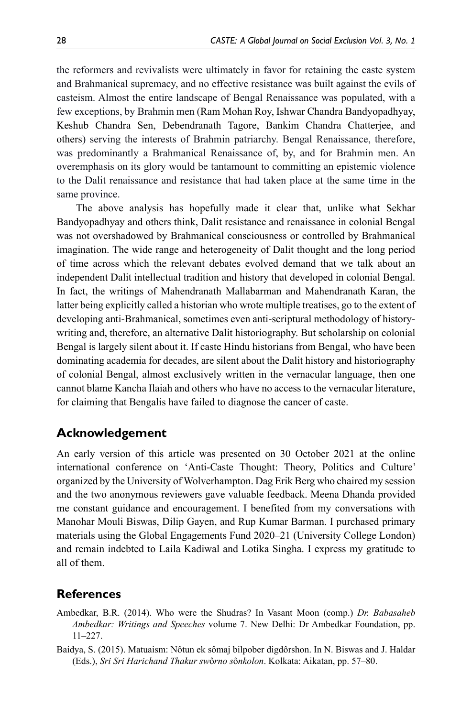the reformers and revivalists were ultimately in favor for retaining the caste system and Brahmanical supremacy, and no effective resistance was built against the evils of casteism. Almost the entire landscape of Bengal Renaissance was populated, with a few exceptions, by Brahmin men (Ram Mohan Roy, Ishwar Chandra Bandyopadhyay, Keshub Chandra Sen, Debendranath Tagore, Bankim Chandra Chatterjee, and others) serving the interests of Brahmin patriarchy. Bengal Renaissance, therefore, was predominantly a Brahmanical Renaissance of, by, and for Brahmin men. An overemphasis on its glory would be tantamount to committing an epistemic violence to the Dalit renaissance and resistance that had taken place at the same time in the same province.

The above analysis has hopefully made it clear that, unlike what Sekhar Bandyopadhyay and others think, Dalit resistance and renaissance in colonial Bengal was not overshadowed by Brahmanical consciousness or controlled by Brahmanical imagination. The wide range and heterogeneity of Dalit thought and the long period of time across which the relevant debates evolved demand that we talk about an independent Dalit intellectual tradition and history that developed in colonial Bengal. In fact, the writings of Mahendranath Mallabarman and Mahendranath Karan, the latter being explicitly called a historian who wrote multiple treatises, go to the extent of developing anti-Brahmanical, sometimes even anti-scriptural methodology of historywriting and, therefore, an alternative Dalit historiography. But scholarship on colonial Bengal is largely silent about it. If caste Hindu historians from Bengal, who have been dominating academia for decades, are silent about the Dalit history and historiography of colonial Bengal, almost exclusively written in the vernacular language, then one cannot blame Kancha Ilaiah and others who have no access to the vernacular literature, for claiming that Bengalis have failed to diagnose the cancer of caste.

#### **Acknowledgement**

An early version of this article was presented on 30 October 2021 at the online international conference on 'Anti-Caste Thought: Theory, Politics and Culture' organized by the University of Wolverhampton. Dag Erik Berg who chaired my session and the two anonymous reviewers gave valuable feedback. Meena Dhanda provided me constant guidance and encouragement. I benefited from my conversations with Manohar Mouli Biswas, Dilip Gayen, and Rup Kumar Barman. I purchased primary materials using the Global Engagements Fund 2020–21 (University College London) and remain indebted to Laila Kadiwal and Lotika Singha. I express my gratitude to all of them.

## **References**

- Ambedkar, B.R. (2014). Who were the Shudras? In Vasant Moon (comp.) *Dr. Babasaheb Ambedkar: Writings and Speeches* volume 7. New Delhi: Dr Ambedkar Foundation, pp. 11–227.
- Baidya, S. (2015). Matuaism: Nôtun ek sômaj bilpober digdôrshon. In N. Biswas and J. Haldar (Eds.), *Sri Sri Harichand Thakur sw*ô*rno s*ô*nkolon*. Kolkata: Aikatan, pp. 57–80.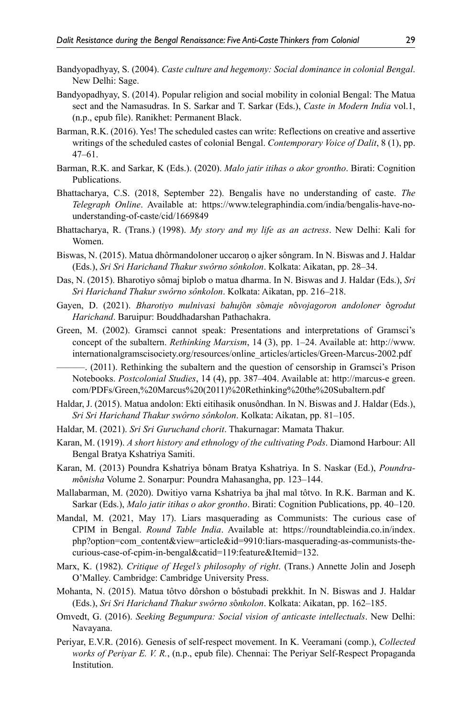- Bandyopadhyay, S. (2004). *Caste culture and hegemony: Social dominance in colonial Bengal*. New Delhi: Sage.
- Bandyopadhyay, S. (2014). Popular religion and social mobility in colonial Bengal: The Matua sect and the Namasudras. In S. Sarkar and T. Sarkar (Eds.), *Caste in Modern India* vol.1, (n.p., epub file). Ranikhet: Permanent Black.
- Barman, R.K. (2016). Yes! The scheduled castes can write: Reflections on creative and assertive writings of the scheduled castes of colonial Bengal. *Contemporary Voice of Dalit*, 8 (1), pp. 47–61.
- Barman, R.K. and Sarkar, K (Eds.). (2020). *Malo jatir itihas o akor grontho*. Birati: Cognition Publications.
- Bhattacharya, C.S. (2018, September 22). Bengalis have no understanding of caste. *The Telegraph Online*. Available at: https://www.telegraphindia.com/india/bengalis-have-nounderstanding-of-caste/cid/1669849
- Bhattacharya, R. (Trans.) (1998). *My story and my life as an actress*. New Delhi: Kali for Women.
- Biswas, N. (2015). Matua dhôrmandoloner uccaroṇ o ajker sôngram. In N. Biswas and J. Haldar (Eds.), *Sri Sri Harichand Thakur swôrno sônkolon*. Kolkata: Aikatan, pp. 28–34.
- Das, N. (2015). Bharotiyo sômaj biplob o matua dharma. In N. Biswas and J. Haldar (Eds.), *Sri Sri Harichand Thakur swôrno sônkolon*. Kolkata: Aikatan, pp. 216–218.
- Gayen, D. (2021). *Bharotiyo mulnivasi bahuj*ô*n s*ô*maje n*ô*vojagoron andoloner* ô*grodut Harichand*. Baruipur: Bouddhadarshan Pathachakra.
- Green, M. (2002). Gramsci cannot speak: Presentations and interpretations of Gramsci's concept of the subaltern. *Rethinking Marxism*, 14 (3), pp. 1–24. Available at: http://www. internationalgramscisociety.org/resources/online\_articles/articles/Green-Marcus-2002.pdf

———. (2011). Rethinking the subaltern and the question of censorship in Gramsci's Prison Notebooks. *Postcolonial Studies*, 14 (4), pp. 387–404. Available at: http://marcus-e green. com/PDFs/Green,%20Marcus%20(2011)%20Rethinking%20the%20Subaltern.pdf

- Haldar, J. (2015). Matua andolon: Ekti eitihasik onusôndhan. In N. Biswas and J. Haldar (Eds.), *Sri Sri Harichand Thakur swôrno sônkolon*. Kolkata: Aikatan, pp. 81–105.
- Haldar, M. (2021). *Sri Sri Guruchand chorit*. Thakurnagar: Mamata Thakur.
- Karan, M. (1919). *A short history and ethnology of the cultivating Pods*. Diamond Harbour: All Bengal Bratya Kshatriya Samiti.

Karan, M. (2013) Poundra Kshatriya bônam Bratya Kshatriya. In S. Naskar (Ed.), *Poundram*ô*nisha* Volume 2. Sonarpur: Poundra Mahasangha, pp. 123–144.

Mallabarman, M. (2020). Dwitiyo varna Kshatriya ba jhal mal tôtvo. In R.K. Barman and K. Sarkar (Eds.), *Malo jatir itihas o akor grontho*. Birati: Cognition Publications, pp. 40–120.

- Mandal, M. (2021, May 17). Liars masquerading as Communists: The curious case of CPIM in Bengal. *Round Table India*. Available at: https://roundtableindia.co.in/index. php?option=com\_content&view=article&id=9910:liars-masquerading-as-communists-thecurious-case-of-cpim-in-bengal&catid=119:feature&Itemid=132.
- Marx, K. (1982). *Critique of Hegel's philosophy of right*. (Trans.) Annette Jolin and Joseph O'Malley. Cambridge: Cambridge University Press.
- Mohanta, N. (2015). Matua tôtvo dôrshon o bôstubadi prekkhit. In N. Biswas and J. Haldar (Eds.), *Sri Sri Harichand Thakur swôrno s*ô*nkolon*. Kolkata: Aikatan, pp. 162–185.
- Omvedt, G. (2016). *Seeking Begumpura: Social vision of anticaste intellectuals*. New Delhi: Navayana.
- Periyar, E.V.R. (2016). Genesis of self-respect movement. In K. Veeramani (comp.), *Collected works of Periyar E. V. R.*, (n.p., epub file). Chennai: The Periyar Self-Respect Propaganda Institution.